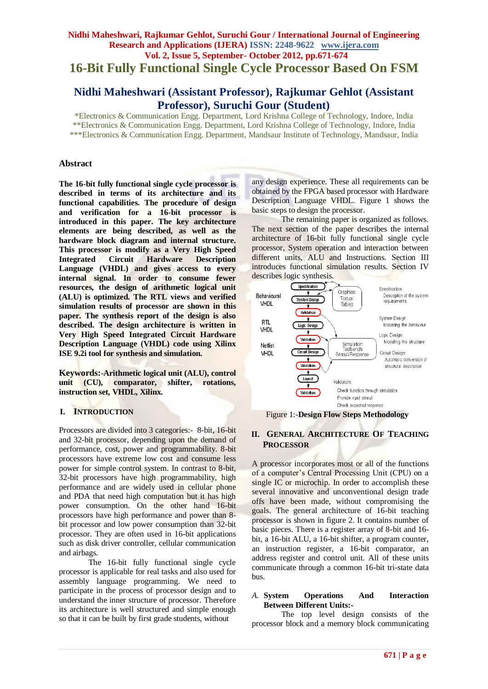## **Nidhi Maheshwari, Rajkumar Gehlot, Suruchi Gour / International Journal of Engineering Research and Applications (IJERA) ISSN: 2248-9622 www.ijera.com Vol. 2, Issue 5, September- October 2012, pp.671-674 16-Bit Fully Functional Single Cycle Processor Based On FSM**

# **Nidhi Maheshwari (Assistant Professor), Rajkumar Gehlot (Assistant Professor), Suruchi Gour (Student)**

\*Electronics & Communication Engg. Department, Lord Krishna College of Technology, Indore, India \*\*Electronics & Communication Engg. Department, Lord Krishna College of Technology, Indore, India \*\*\*Electronics & Communication Engg. Department, Mandsaur Institute of Technology, Mandsaur, India

#### **Abstract**

**The 16-bit fully functional single cycle processor is described in terms of its architecture and its functional capabilities. The procedure of design and verification for a 16-bit processor is introduced in this paper. The key architecture elements are being described, as well as the hardware block diagram and internal structure. This processor is modify as a Very High Speed Integrated Circuit Hardware Description Language (VHDL) and gives access to every internal signal. In order to consume fewer resources, the design of arithmetic logical unit (ALU) is optimized. The RTL views and verified simulation results of processor are shown in this paper. The synthesis report of the design is also described. The design architecture is written in Very High Speed Integrated Circuit Hardware Description Language (VHDL) code using Xilinx ISE 9.2i tool for synthesis and simulation.**

**Keywords:-Arithmetic logical unit (ALU), control unit (CU), comparator, shifter, rotations, instruction set, VHDL, Xilinx.**

#### **I. INTRODUCTION**

Processors are divided into 3 categories:- 8-bit, 16-bit and 32-bit processor, depending upon the demand of performance, cost, power and programmability. 8-bit processors have extreme low cost and consume less power for simple control system. In contrast to 8-bit, 32-bit processors have high programmability, high performance and are widely used in cellular phone and PDA that need high computation but it has high power consumption. On the other hand 16-bit processors have high performance and power than 8 bit processor and low power consumption than 32-bit processor. They are often used in 16-bit applications such as disk driver controller, cellular communication and airbags.

The 16-bit fully functional single cycle processor is applicable for real tasks and also used for assembly language programming. We need to participate in the process of processor design and to understand the inner structure of processor. Therefore its architecture is well structured and simple enough so that it can be built by first grade students, without

any design experience. These all requirements can be obtained by the FPGA based processor with Hardware Description Language VHDL. Figure 1 shows the basic steps to design the processor.

The remaining paper is organized as follows. The next section of the paper describes the internal architecture of 16-bit fully functional single cycle processor, System operation and interaction between different units. ALU and Instructions. Section III introduces functional simulation results. Section IV describes logic synthesis.





## **II. GENERAL ARCHITECTURE OF TEACHING PROCESSOR**

A processor incorporates most or all of the functions of a computer"s Central Processing Unit (CPU) on a single IC or microchip. In order to accomplish these several innovative and unconventional design trade offs have been made, without compromising the goals. The general architecture of 16-bit teaching processor is shown in figure 2. It contains number of basic pieces. There is a register array of 8-bit and 16 bit, a 16-bit ALU, a 16-bit shifter, a program counter, an instruction register, a 16-bit comparator, an address register and control unit. All of these units communicate through a common 16-bit tri-state data bus.

#### *A.* **System Operations And Interaction Between Different Units:-**

The top level design consists of the processor block and a memory block communicating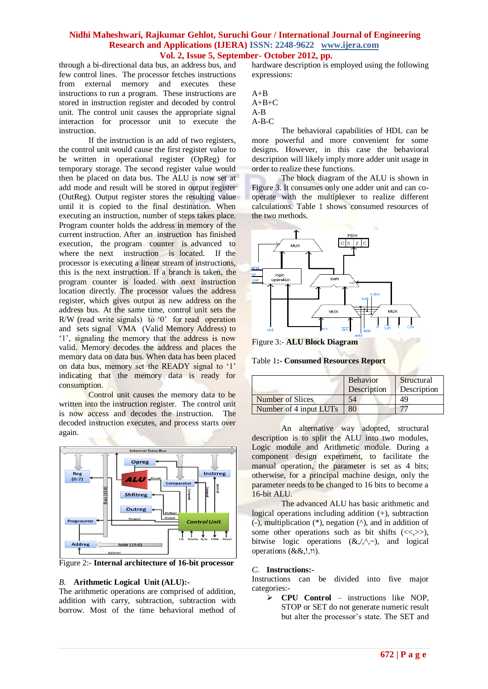#### **Nidhi Maheshwari, Rajkumar Gehlot, Suruchi Gour / International Journal of Engineering Research and Applications (IJERA) ISSN: 2248-9622 www.ijera.com Vol. 2, Issue 5, September- October 2012, pp.**

through a bi-directional data bus, an address bus, and few control lines. The processor fetches instructions from external memory and executes these instructions to run a program. These instructions are stored in instruction register and decoded by control unit. The control unit causes the appropriate signal interaction for processor unit to execute the instruction.

If the instruction is an add of two registers, the control unit would cause the first register value to be written in operational register (OpReg) for temporary storage. The second register value would then be placed on data bus. The ALU is now set at add mode and result will be stored in output register (OutReg). Output register stores the resulting value until it is copied to the final destination. When executing an instruction, number of steps takes place. Program counter holds the address in memory of the current instruction. After an instruction has finished execution, the program counter is advanced to where the next instruction is located. If the processor is executing a linear stream of instructions, this is the next instruction. If a branch is taken, the program counter is loaded with next instruction location directly. The processor values the address register, which gives output as new address on the address bus. At the same time, control unit sets the  $R/W$  (read write signals) to  $0$  for read operation and sets signal VMA (Valid Memory Address) to "1", signaling the memory that the address is now valid. Memory decodes the address and places the memory data on data bus. When data has been placed on data bus, memory set the READY signal to '1' indicating that the memory data is ready for consumption.

Control unit causes the memory data to be written into the instruction register. The control unit is now access and decodes the instruction. The decoded instruction executes, and process starts over again.



Figure 2:- **Internal architecture of 16-bit processor**

## *B.* **Arithmetic Logical Unit (ALU):-**

The arithmetic operations are comprised of addition, addition with carry, subtraction, subtraction with borrow. Most of the time behavioral method of hardware description is employed using the following expressions:

 $A+B$  $A+B+C$ A-B

A-B-C

The behavioral capabilities of HDL can be more powerful and more convenient for some designs. However, in this case the behavioral description will likely imply more adder unit usage in order to realize these functions.

The block diagram of the ALU is shown in Figure 3. It consumes only one adder unit and can cooperate with the multiplexer to realize different calculations. Table 1 shows consumed resources of the two methods.



Figure 3:- **ALU Block Diagram**

Table 1**:- Consumed Resources Report**

|                        | Behavior    | Structural  |
|------------------------|-------------|-------------|
|                        | Description | Description |
| Number of Slices       | 54          | 49          |
| Number of 4 input LUTs | 80          |             |

An alternative way adopted, structural description is to split the ALU into two modules, Logic module and Arithmetic module. During a component design experiment, to facilitate the manual operation, the parameter is set as 4 bits; otherwise, for a principal machine design, only the parameter needs to be changed to 16 bits to become a 16-bit ALU.

The advanced ALU has basic arithmetic and logical operations including addition (+), subtraction (-), multiplication (\*), negation (^), and in addition of some other operations such as bit shifts  $(\langle \langle \rangle \rangle)$ , bitwise logic operations  $(\&, \wedge, \sim)$ , and logical operations  $(\&\&\,,!,\n$ 

## *C.* **Instructions:-**

Instructions can be divided into five major categories:-

 **CPU Control** – instructions like NOP, STOP or SET do not generate numeric result but alter the processor's state. The SET and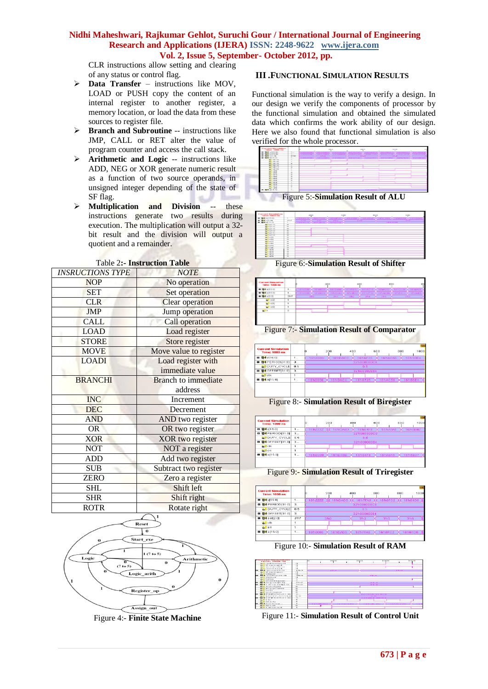## **Nidhi Maheshwari, Rajkumar Gehlot, Suruchi Gour / International Journal of Engineering Research and Applications (IJERA) ISSN: 2248-9622 www.ijera.com Vol. 2, Issue 5, September- October 2012, pp.**

CLR instructions allow setting and clearing of any status or control flag.

- **Data Transfer** instructions like MOV, LOAD or PUSH copy the content of an internal register to another register, a memory location, or load the data from these sources to register file.
- **Branch and Subroutine** -- instructions like JMP, CALL or RET alter the value of program counter and access the call stack.
- > **Arithmetic and Logic** -- instructions like ADD, NEG or XOR generate numeric result as a function of two source operands, in unsigned integer depending of the state of SF flag.
- > Multiplication and Division -- these instructions generate two results during execution. The multiplication will output a 32 bit result and the division will output a quotient and a remainder.

| <b>INSRUCTIONS TYPE</b> | <b>NOTE</b>                |
|-------------------------|----------------------------|
| <b>NOP</b>              | No operation               |
| <b>SET</b>              | Set operation              |
| <b>CLR</b>              | <b>Clear operation</b>     |
| <b>JMP</b>              | Jump operation             |
| <b>CALL</b>             | Call operation             |
| <b>LOAD</b>             | Load register              |
| <b>STORE</b>            | Store register             |
| <b>MOVE</b>             | Move value to register     |
| <b>LOADI</b>            | Load register with         |
|                         | immediate value            |
| <b>BRANCHI</b>          | <b>Branch to immediate</b> |
|                         | address                    |
| <b>INC</b>              | Increment                  |
| <b>DEC</b>              | Decrement                  |
| <b>AND</b>              | AND two register           |
| <b>OR</b>               | OR two register            |
| <b>XOR</b>              | <b>XOR</b> two register    |
| <b>NOT</b>              | NOT a register             |
| <b>ADD</b>              | Add two register           |
| <b>SUB</b>              | Subtract two register      |
| ZERO                    | Zero a register            |
| SHL                     | Shift left                 |
| SHR                     | Shift right                |
| <b>ROTR</b>             | Rotate right               |



Figure 4:- **Finite State Machine**

#### **III .FUNCTIONAL SIMULATION RESULTS**

Functional simulation is the way to verify a design. In our design we verify the components of processor by the functional simulation and obtained the simulated data which confirms the work ability of our design. Here we also found that functional simulation is also verified for the whole processor.



Figure 10:- **Simulation Result of RAM**

. олин<br>Е <mark>б4</mark> а[15:0]



Figure 11:- **Simulation Result of Control Unit**